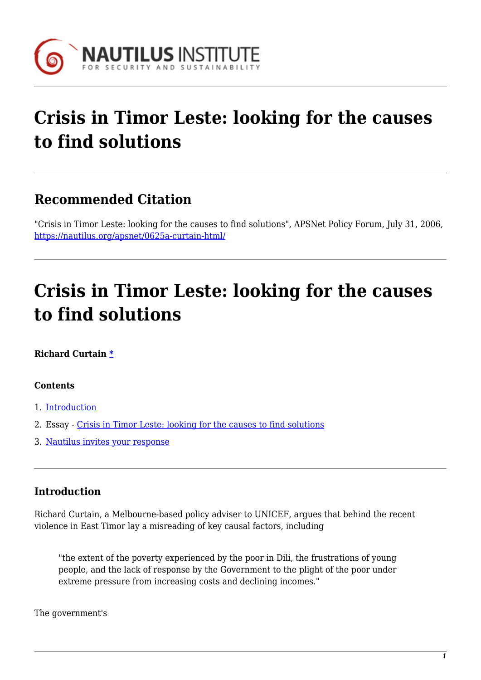

# **Crisis in Timor Leste: looking for the causes to find solutions**

## **Recommended Citation**

"Crisis in Timor Leste: looking for the causes to find solutions", APSNet Policy Forum, July 31, 2006, <https://nautilus.org/apsnet/0625a-curtain-html/>

## **Crisis in Timor Leste: looking for the causes to find solutions**

### **Richard Curtain [\\*](#page--1-0)**

#### **Contents**

- 1. [Introduction](#page--1-0)
- 2. Essay - [Crisis in Timor Leste: looking for the causes to find solutions](#page--1-0)
- 3. [Nautilus invites your response](#page--1-0)

### **Introduction**

Richard Curtain, a Melbourne-based policy adviser to UNICEF, argues that behind the recent violence in East Timor lay a misreading of key causal factors, including

"the extent of the poverty experienced by the poor in Dili, the frustrations of young people, and the lack of response by the Government to the plight of the poor under extreme pressure from increasing costs and declining incomes."

The government's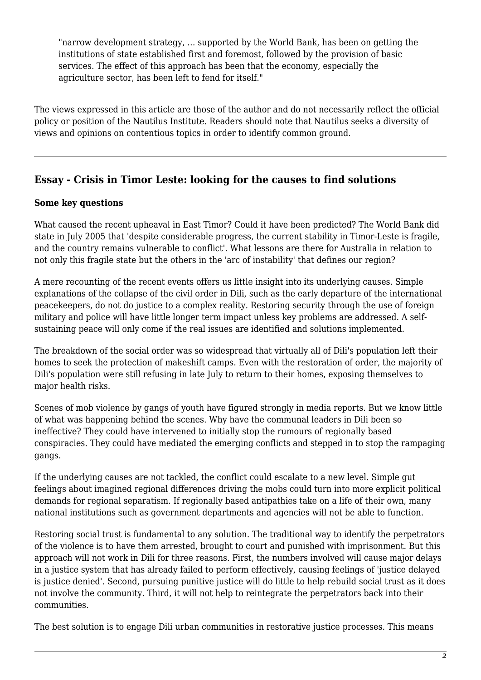"narrow development strategy, … supported by the World Bank, has been on getting the institutions of state established first and foremost, followed by the provision of basic services. The effect of this approach has been that the economy, especially the agriculture sector, has been left to fend for itself."

The views expressed in this article are those of the author and do not necessarily reflect the official policy or position of the Nautilus Institute. Readers should note that Nautilus seeks a diversity of views and opinions on contentious topics in order to identify common ground.

## **Essay - Crisis in Timor Leste: looking for the causes to find solutions**

#### **Some key questions**

What caused the recent upheaval in East Timor? Could it have been predicted? The World Bank did state in July 2005 that 'despite considerable progress, the current stability in Timor-Leste is fragile, and the country remains vulnerable to conflict'. What lessons are there for Australia in relation to not only this fragile state but the others in the 'arc of instability' that defines our region?

A mere recounting of the recent events offers us little insight into its underlying causes. Simple explanations of the collapse of the civil order in Dili, such as the early departure of the international peacekeepers, do not do justice to a complex reality. Restoring security through the use of foreign military and police will have little longer term impact unless key problems are addressed. A selfsustaining peace will only come if the real issues are identified and solutions implemented.

The breakdown of the social order was so widespread that virtually all of Dili's population left their homes to seek the protection of makeshift camps. Even with the restoration of order, the majority of Dili's population were still refusing in late July to return to their homes, exposing themselves to major health risks.

Scenes of mob violence by gangs of youth have figured strongly in media reports. But we know little of what was happening behind the scenes. Why have the communal leaders in Dili been so ineffective? They could have intervened to initially stop the rumours of regionally based conspiracies. They could have mediated the emerging conflicts and stepped in to stop the rampaging gangs.

If the underlying causes are not tackled, the conflict could escalate to a new level. Simple gut feelings about imagined regional differences driving the mobs could turn into more explicit political demands for regional separatism. If regionally based antipathies take on a life of their own, many national institutions such as government departments and agencies will not be able to function.

Restoring social trust is fundamental to any solution. The traditional way to identify the perpetrators of the violence is to have them arrested, brought to court and punished with imprisonment. But this approach will not work in Dili for three reasons. First, the numbers involved will cause major delays in a justice system that has already failed to perform effectively, causing feelings of 'justice delayed is justice denied'. Second, pursuing punitive justice will do little to help rebuild social trust as it does not involve the community. Third, it will not help to reintegrate the perpetrators back into their communities.

The best solution is to engage Dili urban communities in restorative justice processes. This means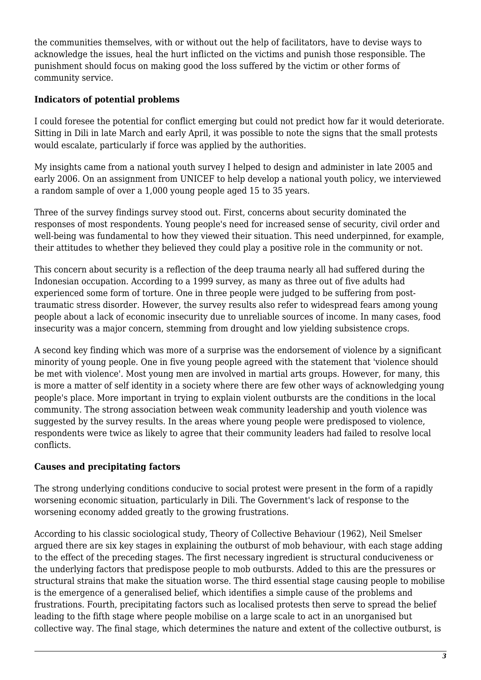the communities themselves, with or without out the help of facilitators, have to devise ways to acknowledge the issues, heal the hurt inflicted on the victims and punish those responsible. The punishment should focus on making good the loss suffered by the victim or other forms of community service.

#### **Indicators of potential problems**

I could foresee the potential for conflict emerging but could not predict how far it would deteriorate. Sitting in Dili in late March and early April, it was possible to note the signs that the small protests would escalate, particularly if force was applied by the authorities.

My insights came from a national youth survey I helped to design and administer in late 2005 and early 2006. On an assignment from UNICEF to help develop a national youth policy, we interviewed a random sample of over a 1,000 young people aged 15 to 35 years.

Three of the survey findings survey stood out. First, concerns about security dominated the responses of most respondents. Young people's need for increased sense of security, civil order and well-being was fundamental to how they viewed their situation. This need underpinned, for example, their attitudes to whether they believed they could play a positive role in the community or not.

This concern about security is a reflection of the deep trauma nearly all had suffered during the Indonesian occupation. According to a 1999 survey, as many as three out of five adults had experienced some form of torture. One in three people were judged to be suffering from posttraumatic stress disorder. However, the survey results also refer to widespread fears among young people about a lack of economic insecurity due to unreliable sources of income. In many cases, food insecurity was a major concern, stemming from drought and low yielding subsistence crops.

A second key finding which was more of a surprise was the endorsement of violence by a significant minority of young people. One in five young people agreed with the statement that 'violence should be met with violence'. Most young men are involved in martial arts groups. However, for many, this is more a matter of self identity in a society where there are few other ways of acknowledging young people's place. More important in trying to explain violent outbursts are the conditions in the local community. The strong association between weak community leadership and youth violence was suggested by the survey results. In the areas where young people were predisposed to violence, respondents were twice as likely to agree that their community leaders had failed to resolve local conflicts.

#### **Causes and precipitating factors**

The strong underlying conditions conducive to social protest were present in the form of a rapidly worsening economic situation, particularly in Dili. The Government's lack of response to the worsening economy added greatly to the growing frustrations.

According to his classic sociological study, Theory of Collective Behaviour (1962), Neil Smelser argued there are six key stages in explaining the outburst of mob behaviour, with each stage adding to the effect of the preceding stages. The first necessary ingredient is structural conduciveness or the underlying factors that predispose people to mob outbursts. Added to this are the pressures or structural strains that make the situation worse. The third essential stage causing people to mobilise is the emergence of a generalised belief, which identifies a simple cause of the problems and frustrations. Fourth, precipitating factors such as localised protests then serve to spread the belief leading to the fifth stage where people mobilise on a large scale to act in an unorganised but collective way. The final stage, which determines the nature and extent of the collective outburst, is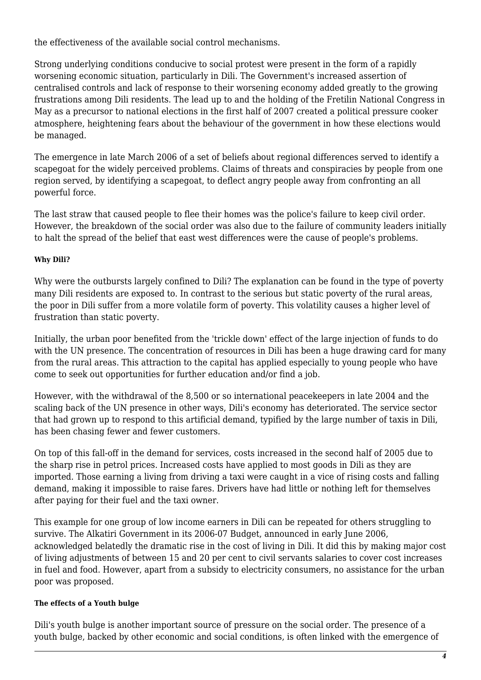the effectiveness of the available social control mechanisms.

Strong underlying conditions conducive to social protest were present in the form of a rapidly worsening economic situation, particularly in Dili. The Government's increased assertion of centralised controls and lack of response to their worsening economy added greatly to the growing frustrations among Dili residents. The lead up to and the holding of the Fretilin National Congress in May as a precursor to national elections in the first half of 2007 created a political pressure cooker atmosphere, heightening fears about the behaviour of the government in how these elections would be managed.

The emergence in late March 2006 of a set of beliefs about regional differences served to identify a scapegoat for the widely perceived problems. Claims of threats and conspiracies by people from one region served, by identifying a scapegoat, to deflect angry people away from confronting an all powerful force.

The last straw that caused people to flee their homes was the police's failure to keep civil order. However, the breakdown of the social order was also due to the failure of community leaders initially to halt the spread of the belief that east west differences were the cause of people's problems.

#### **Why Dili?**

Why were the outbursts largely confined to Dili? The explanation can be found in the type of poverty many Dili residents are exposed to. In contrast to the serious but static poverty of the rural areas, the poor in Dili suffer from a more volatile form of poverty. This volatility causes a higher level of frustration than static poverty.

Initially, the urban poor benefited from the 'trickle down' effect of the large injection of funds to do with the UN presence. The concentration of resources in Dili has been a huge drawing card for many from the rural areas. This attraction to the capital has applied especially to young people who have come to seek out opportunities for further education and/or find a job.

However, with the withdrawal of the 8,500 or so international peacekeepers in late 2004 and the scaling back of the UN presence in other ways, Dili's economy has deteriorated. The service sector that had grown up to respond to this artificial demand, typified by the large number of taxis in Dili, has been chasing fewer and fewer customers.

On top of this fall-off in the demand for services, costs increased in the second half of 2005 due to the sharp rise in petrol prices. Increased costs have applied to most goods in Dili as they are imported. Those earning a living from driving a taxi were caught in a vice of rising costs and falling demand, making it impossible to raise fares. Drivers have had little or nothing left for themselves after paying for their fuel and the taxi owner.

This example for one group of low income earners in Dili can be repeated for others struggling to survive. The Alkatiri Government in its 2006-07 Budget, announced in early June 2006, acknowledged belatedly the dramatic rise in the cost of living in Dili. It did this by making major cost of living adjustments of between 15 and 20 per cent to civil servants salaries to cover cost increases in fuel and food. However, apart from a subsidy to electricity consumers, no assistance for the urban poor was proposed.

#### **The effects of a Youth bulge**

Dili's youth bulge is another important source of pressure on the social order. The presence of a youth bulge, backed by other economic and social conditions, is often linked with the emergence of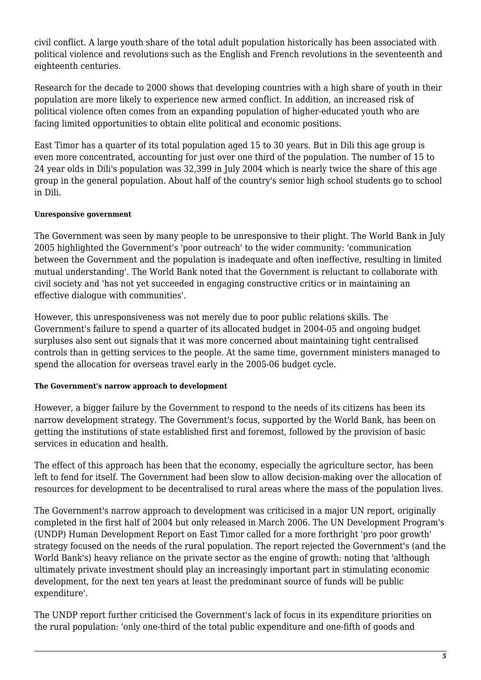civil conflict. A large youth share of the total adult population historically has been associated with political violence and revolutions such as the English and French revolutions in the seventeenth and eighteenth centuries.

Research for the decade to 2000 shows that developing countries with a high share of youth in their population are more likely to experience new armed conflict. In addition, an increased risk of political violence often comes from an expanding population of higher-educated youth who are facing limited opportunities to obtain elite political and economic positions.

East Timor has a quarter of its total population aged 15 to 30 years. But in Dili this age group is even more concentrated, accounting for just over one third of the population. The number of 15 to 24 year olds in Dili's population was 32,399 in July 2004 which is nearly twice the share of this age group in the general population. About half of the country's senior high school students go to school in Dili.

#### **Unresponsive government**

The Government was seen by many people to be unresponsive to their plight. The World Bank in July 2005 highlighted the Government's 'poor outreach' to the wider community: 'communication between the Government and the population is inadequate and often ineffective, resulting in limited mutual understanding'. The World Bank noted that the Government is reluctant to collaborate with civil society and 'has not yet succeeded in engaging constructive critics or in maintaining an effective dialogue with communities'.

However, this unresponsiveness was not merely due to poor public relations skills. The Government's failure to spend a quarter of its allocated budget in 2004-05 and ongoing budget surpluses also sent out signals that it was more concerned about maintaining tight centralised controls than in getting services to the people. At the same time, government ministers managed to spend the allocation for overseas travel early in the 2005-06 budget cycle.

#### **The Government's narrow approach to development**

However, a bigger failure by the Government to respond to the needs of its citizens has been its narrow development strategy. The Government's focus, supported by the World Bank, has been on getting the institutions of state established first and foremost, followed by the provision of basic services in education and health.

The effect of this approach has been that the economy, especially the agriculture sector, has been left to fend for itself. The Government had been slow to allow decision-making over the allocation of resources for development to be decentralised to rural areas where the mass of the population lives.

The Government's narrow approach to development was criticised in a major UN report, originally completed in the first half of 2004 but only released in March 2006. The UN Development Program's (UNDP) Human Development Report on East Timor called for a more forthright 'pro poor growth' strategy focused on the needs of the rural population. The report rejected the Government's (and the World Bank's) heavy reliance on the private sector as the engine of growth: noting that 'although ultimately private investment should play an increasingly important part in stimulating economic development, for the next ten years at least the predominant source of funds will be public expenditure'.

The UNDP report further criticised the Government's lack of focus in its expenditure priorities on the rural population: 'only one-third of the total public expenditure and one-fifth of goods and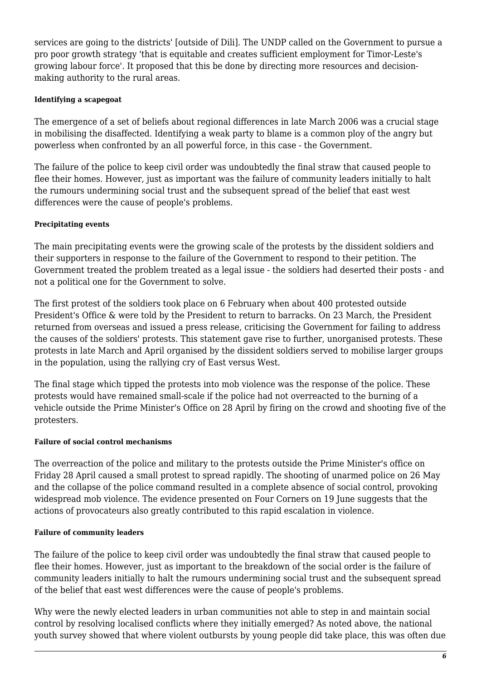services are going to the districts' [outside of Dili]. The UNDP called on the Government to pursue a pro poor growth strategy 'that is equitable and creates sufficient employment for Timor-Leste's growing labour force'. It proposed that this be done by directing more resources and decisionmaking authority to the rural areas.

#### **Identifying a scapegoat**

The emergence of a set of beliefs about regional differences in late March 2006 was a crucial stage in mobilising the disaffected. Identifying a weak party to blame is a common ploy of the angry but powerless when confronted by an all powerful force, in this case - the Government.

The failure of the police to keep civil order was undoubtedly the final straw that caused people to flee their homes. However, just as important was the failure of community leaders initially to halt the rumours undermining social trust and the subsequent spread of the belief that east west differences were the cause of people's problems.

#### **Precipitating events**

The main precipitating events were the growing scale of the protests by the dissident soldiers and their supporters in response to the failure of the Government to respond to their petition. The Government treated the problem treated as a legal issue - the soldiers had deserted their posts - and not a political one for the Government to solve.

The first protest of the soldiers took place on 6 February when about 400 protested outside President's Office & were told by the President to return to barracks. On 23 March, the President returned from overseas and issued a press release, criticising the Government for failing to address the causes of the soldiers' protests. This statement gave rise to further, unorganised protests. These protests in late March and April organised by the dissident soldiers served to mobilise larger groups in the population, using the rallying cry of East versus West.

The final stage which tipped the protests into mob violence was the response of the police. These protests would have remained small-scale if the police had not overreacted to the burning of a vehicle outside the Prime Minister's Office on 28 April by firing on the crowd and shooting five of the protesters.

#### **Failure of social control mechanisms**

The overreaction of the police and military to the protests outside the Prime Minister's office on Friday 28 April caused a small protest to spread rapidly. The shooting of unarmed police on 26 May and the collapse of the police command resulted in a complete absence of social control, provoking widespread mob violence. The evidence presented on Four Corners on 19 June suggests that the actions of provocateurs also greatly contributed to this rapid escalation in violence.

#### **Failure of community leaders**

The failure of the police to keep civil order was undoubtedly the final straw that caused people to flee their homes. However, just as important to the breakdown of the social order is the failure of community leaders initially to halt the rumours undermining social trust and the subsequent spread of the belief that east west differences were the cause of people's problems.

Why were the newly elected leaders in urban communities not able to step in and maintain social control by resolving localised conflicts where they initially emerged? As noted above, the national youth survey showed that where violent outbursts by young people did take place, this was often due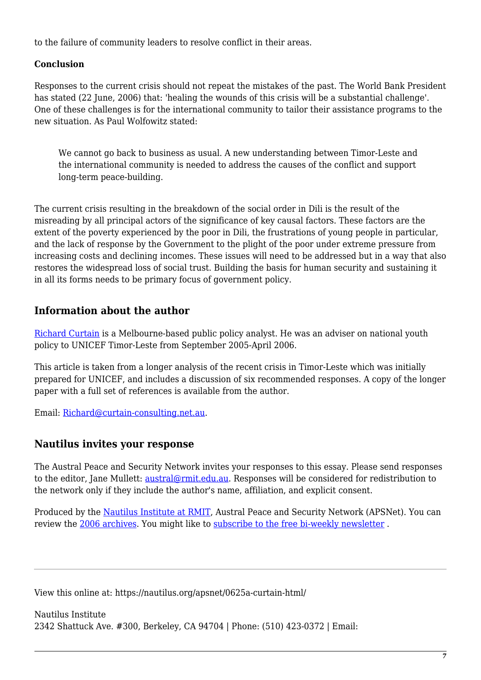to the failure of community leaders to resolve conflict in their areas.

#### **Conclusion**

Responses to the current crisis should not repeat the mistakes of the past. The World Bank President has stated (22 June, 2006) that: 'healing the wounds of this crisis will be a substantial challenge'. One of these challenges is for the international community to tailor their assistance programs to the new situation. As Paul Wolfowitz stated:

We cannot go back to business as usual. A new understanding between Timor-Leste and the international community is needed to address the causes of the conflict and support long-term peace-building.

The current crisis resulting in the breakdown of the social order in Dili is the result of the misreading by all principal actors of the significance of key causal factors. These factors are the extent of the poverty experienced by the poor in Dili, the frustrations of young people in particular, and the lack of response by the Government to the plight of the poor under extreme pressure from increasing costs and declining incomes. These issues will need to be addressed but in a way that also restores the widespread loss of social trust. Building the basis for human security and sustaining it in all its forms needs to be primary focus of government policy.

## **Information about the author**

[Richard Curtain](http://www.curtain-consulting.net.au/) is a Melbourne-based public policy analyst. He was an adviser on national youth policy to UNICEF Timor-Leste from September 2005-April 2006.

This article is taken from a longer analysis of the recent crisis in Timor-Leste which was initially prepared for UNICEF, and includes a discussion of six recommended responses. A copy of the longer paper with a full set of references is available from the author.

Email: [Richard@curtain-consulting.net.au.](mailto:Richard@curtain-consulting.net.au)

## **Nautilus invites your response**

The Austral Peace and Security Network invites your responses to this essay. Please send responses to the editor, Jane Mullett: [austral@rmit.edu.au](mailto:austral@rmit.edu.au). Responses will be considered for redistribution to the network only if they include the author's name, affiliation, and explicit consent.

Produced by the [Nautilus Institute at RMIT,](https://nautilus.org/publications/) Austral Peace and Security Network (APSNet). You can review the [2006 archives](http://nautilus.org/forums/2006/). You might like to [subscribe to the free bi-weekly newsletter](https://nautilus.org/mailman/listinfo/apsnet) .

View this online at: https://nautilus.org/apsnet/0625a-curtain-html/